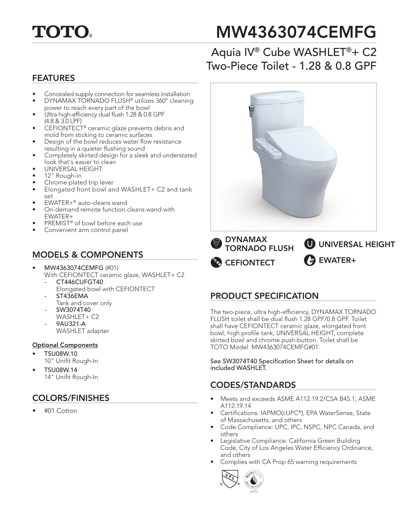

# MW4363074CEMFG

# Aquia IV® Cube WASHLET®+ C2 Two-Piece Toilet - 1.28 & 0.8 GPF

#### FEATURES

- Concealed supply connection for seamless installation
- DYNAMAX TORNADO FLUSH® utilizes 360º cleaning power to reach every part of the bowl
- Ultra high-efficiency dual flush 1.28 & 0.8 GPF (4.8 & 3.0 LPF)
- CEFIONTECT® ceramic glaze prevents debris and mold from sticking to ceramic surfaces
- Design of the bowl reduces water flow resistance resulting in a quieter flushing sound
- Completely skirted design for a sleek and understated look that's easier to clean
- UNIVERSAL HEIGHT
- 12" Rough-in
- Chrome plated trip lever
- Elongated front bowl and WASHLET+ C2 and tank set
- EWATER+® auto-cleans wand
- On-demand remote function cleans wand with EWATER+
- PREMIST® of bowl before each use
- Convenient arm control panel

## MODELS & COMPONENTS

- MW4363074CEMFG (#01)
	- With CEFIONTECT ceramic glaze, WASHLET+ C2 *-* CT446CUFGT40
		- Elongated bowl with CEFIONTECT *-* ST436EMA
	- Tank and cover only
	- SW3074T40
	- WASHLET+ C2
		- 9AU321-A WASHLET adapter

#### Optional Components

- TSU08W.10
- 10" Unifit Rough-In
- TSU08W.14 14" Unifit Rough-In

# COLORS/FINISHES

• #01 Cotton



## PRODUCT SPECIFICATION

**CEFIONTECT** 

The two-piece, ultra high-efficiency, DYNAMAX TORNADO FLUSH toilet shall be dual flush 1.28 GPF/0.8 GPF. Toilet shall have CEFIONTECT ceramic glaze, elongated front bowl, high profile tank, UNIVERSAL HEIGHT, complete skirted bowl and chrome push-button. Toilet shall be TOTO Model MW4363074CEMFG#01.

**A** EWATER+

See SW3074T40 Specification Sheet for details on included WASHLET.

#### CODES/STANDARDS

- Meets and exceeds ASME A112.19.2/CSA B45.1, ASME A112.19.14
- Certifications: IAPMO(cUPC®), EPA WaterSense, State of Massachusetts, and others
- Code Compliance: UPC, IPC, NSPC, NPC Canada, and others
- Legislative Compliance: California Green Building Code, City of Los Angeles Water Efficiency Ordinance, and others
- Complies with CA Prop 65 warning requirements